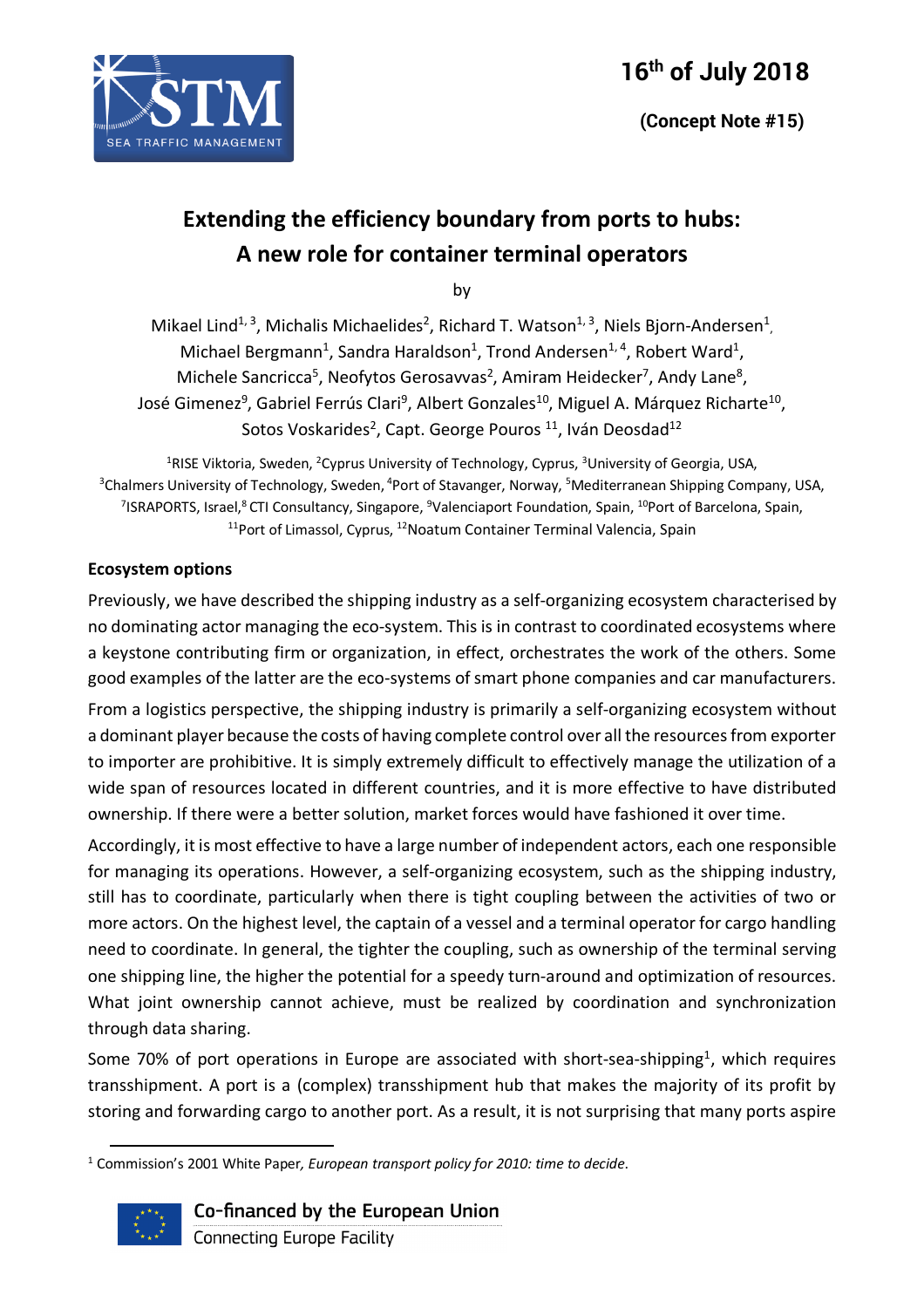

# **Extending the efficiency boundary from ports to hubs: A new role for container terminal operators**

by

Mikael Lind<sup>1, 3</sup>, Michalis Michaelides<sup>2</sup>, Richard T. Watson<sup>1, 3</sup>, Niels Bjorn-Andersen<sup>1</sup>, Michael Bergmann<sup>1</sup>, Sandra Haraldson<sup>1</sup>, Trond Andersen<sup>1, 4</sup>, Robert Ward<sup>1</sup>, Michele Sancricca<sup>5</sup>, Neofytos Gerosavvas<sup>2</sup>, Amiram Heidecker<sup>7</sup>, Andy Lane<sup>8</sup>, José Gimenez<sup>9</sup>, Gabriel Ferrús Clari<sup>9</sup>, Albert Gonzales<sup>10</sup>, Miguel A. Márquez Richarte<sup>10</sup>, Sotos Voskarides<sup>2</sup>, Capt. George Pouros<sup>11</sup>, Iván Deosdad<sup>12</sup>

<sup>1</sup>RISE Viktoria, Sweden, <sup>2</sup>Cyprus University of Technology, Cyprus, <sup>3</sup>University of Georgia, USA, <sup>3</sup>Chalmers University of Technology, Sweden, <sup>4</sup>Port of Stavanger, Norway, <sup>5</sup>Mediterranean Shipping Company, USA, <sup>7</sup>ISRAPORTS, Israel,<sup>8</sup> CTI Consultancy, Singapore, <sup>9</sup>Valenciaport Foundation, Spain, <sup>10</sup>Port of Barcelona, Spain, <sup>11</sup>Port of Limassol, Cyprus, <sup>12</sup>Noatum Container Terminal Valencia, Spain

# **Ecosystem options**

Previously, we have described the shipping industry as a self-organizing ecosystem characterised by no dominating actor managing the eco-system. This is in contrast to coordinated ecosystems where a keystone contributing firm or organization, in effect, orchestrates the work of the others. Some good examples of the latter are the eco-systems of smart phone companies and car manufacturers. From a logistics perspective, the shipping industry is primarily a self-organizing ecosystem without a dominant player because the costs of having complete control over all the resources from exporter to importer are prohibitive. It is simply extremely difficult to effectively manage the utilization of a wide span of resources located in different countries, and it is more effective to have distributed ownership. If there were a better solution, market forces would have fashioned it over time.

Accordingly, it is most effective to have a large number of independent actors, each one responsible for managing its operations. However, a self-organizing ecosystem, such as the shipping industry, still has to coordinate, particularly when there is tight coupling between the activities of two or more actors. On the highest level, the captain of a vessel and a terminal operator for cargo handling need to coordinate. In general, the tighter the coupling, such as ownership of the terminal serving one shipping line, the higher the potential for a speedy turn-around and optimization of resources. What joint ownership cannot achieve, must be realized by coordination and synchronization through data sharing.

Some 70% of port operations in Europe are associated with short-sea-shipping<sup>1</sup>, which requires transshipment. A port is a (complex) transshipment hub that makes the majority of its profit by storing and forwarding cargo to another port. As a result, it is not surprising that many ports aspire

 <sup>1</sup> Commission's 2001 White Paper*, European transport policy for 2010: time to decide*.



Co-financed by the European Union **Connecting Europe Facility**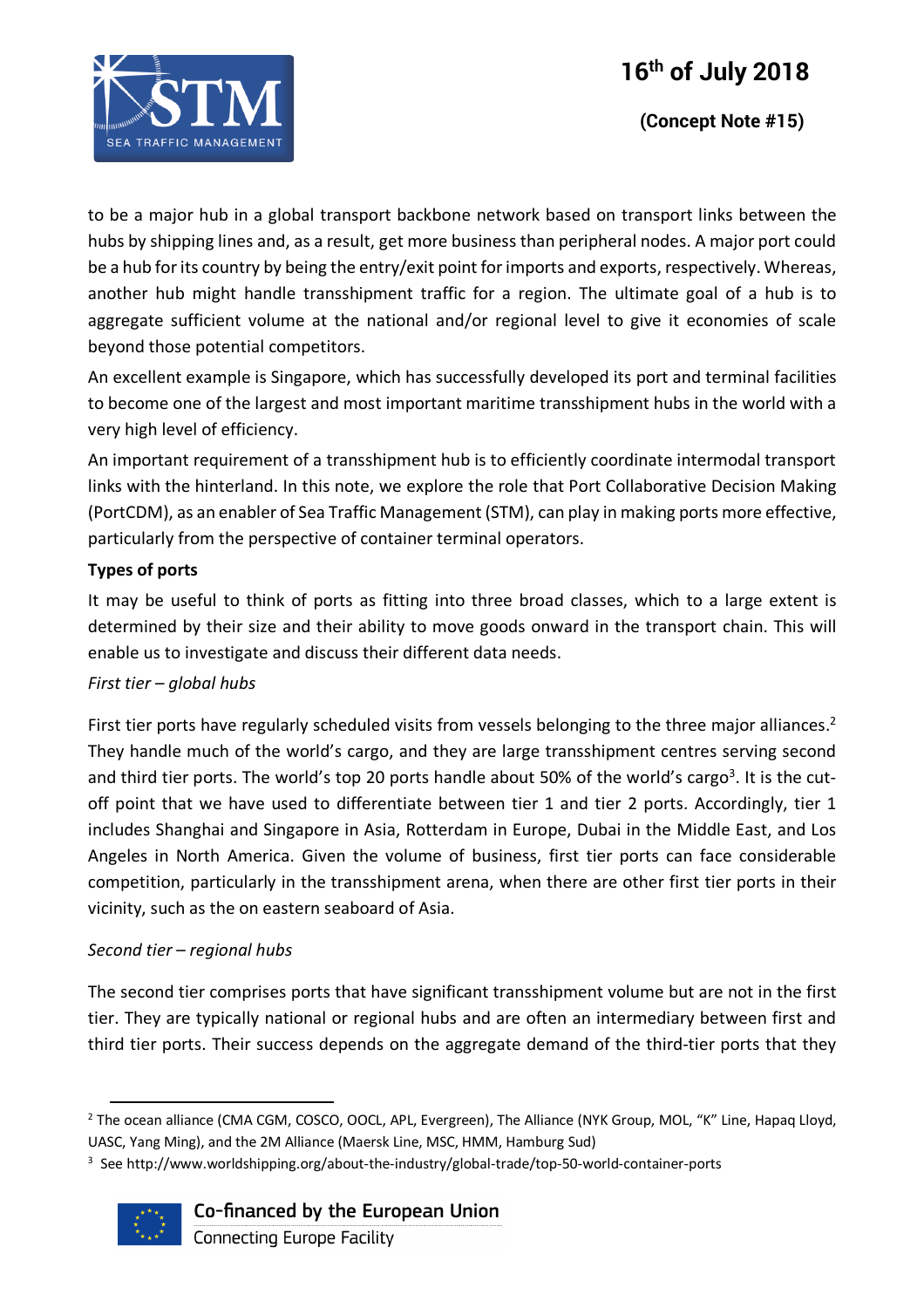

to be a major hub in a global transport backbone network based on transport links between the hubs by shipping lines and, as a result, get more business than peripheral nodes. A major port could be a hub for its country by being the entry/exit point for imports and exports, respectively. Whereas, another hub might handle transshipment traffic for a region. The ultimate goal of a hub is to aggregate sufficient volume at the national and/or regional level to give it economies of scale beyond those potential competitors.

An excellent example is Singapore, which has successfully developed its port and terminal facilities to become one of the largest and most important maritime transshipment hubs in the world with a very high level of efficiency.

An important requirement of a transshipment hub is to efficiently coordinate intermodal transport links with the hinterland. In this note, we explore the role that Port Collaborative Decision Making (PortCDM), as an enabler of Sea Traffic Management (STM), can play in making ports more effective, particularly from the perspective of container terminal operators.

# **Types of ports**

It may be useful to think of ports as fitting into three broad classes, which to a large extent is determined by their size and their ability to move goods onward in the transport chain. This will enable us to investigate and discuss their different data needs.

# *First tier – global hubs*

First tier ports have regularly scheduled visits from vessels belonging to the three major alliances.<sup>2</sup> They handle much of the world's cargo, and they are large transshipment centres serving second and third tier ports. The world's top 20 ports handle about 50% of the world's cargo<sup>3</sup>. It is the cutoff point that we have used to differentiate between tier 1 and tier 2 ports. Accordingly, tier 1 includes Shanghai and Singapore in Asia, Rotterdam in Europe, Dubai in the Middle East, and Los Angeles in North America. Given the volume of business, first tier ports can face considerable competition, particularly in the transshipment arena, when there are other first tier ports in their vicinity, such as the on eastern seaboard of Asia.

# *Second tier – regional hubs*

The second tier comprises ports that have significant transshipment volume but are not in the first tier. They are typically national or regional hubs and are often an intermediary between first and third tier ports. Their success depends on the aggregate demand of the third-tier ports that they

 $3$  See http://www.worldshipping.org/about-the-industry/global-trade/top-50-world-container-ports



# Co-financed by the European Union

<sup>&</sup>lt;sup>2</sup> The ocean alliance (CMA CGM, COSCO, OOCL, APL, Evergreen), The Alliance (NYK Group, MOL, "K" Line, Hapaq Lloyd, UASC, Yang Ming), and the 2M Alliance (Maersk Line, MSC, HMM, Hamburg Sud)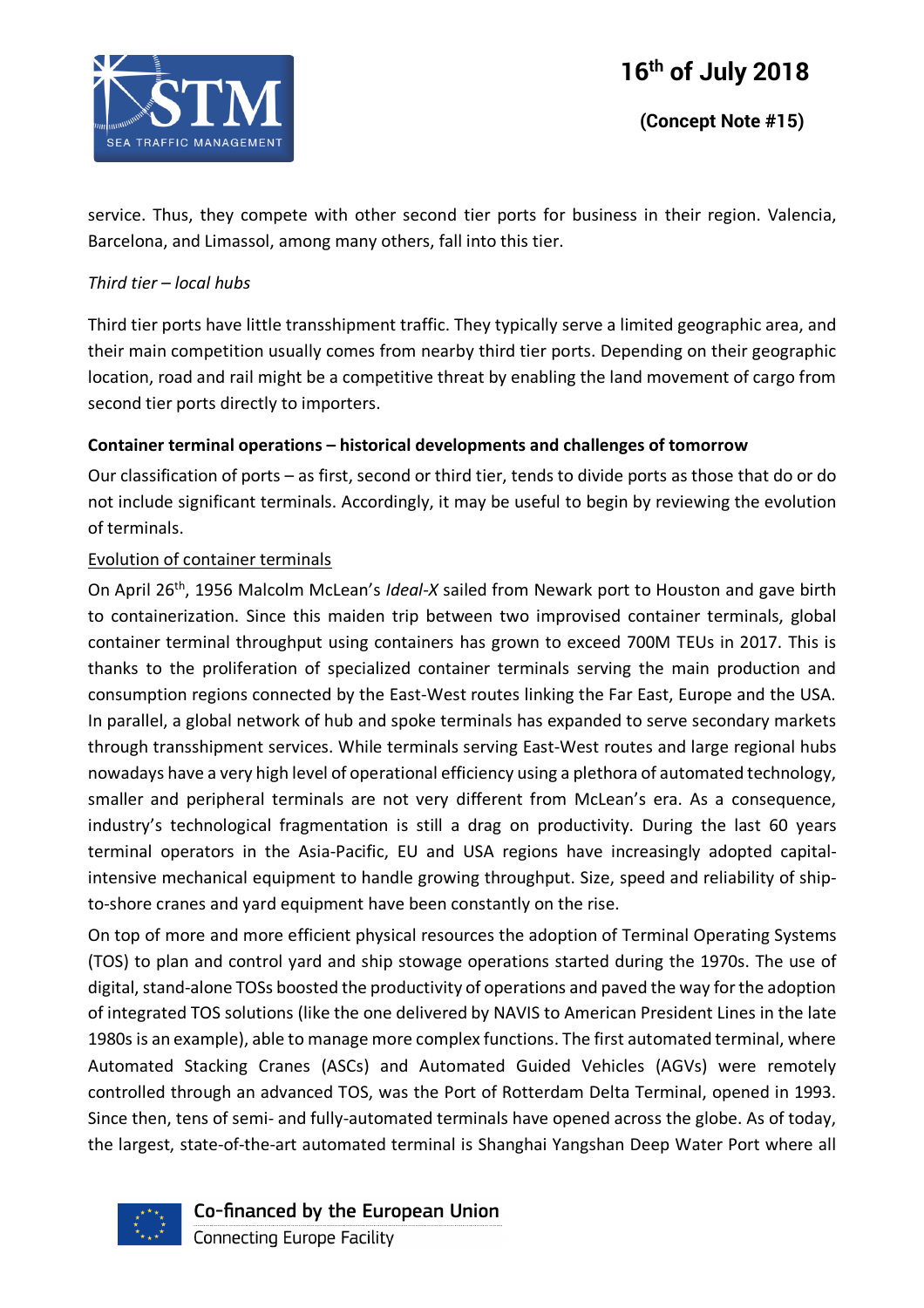

service. Thus, they compete with other second tier ports for business in their region. Valencia, Barcelona, and Limassol, among many others, fall into this tier.

#### *Third tier – local hubs*

Third tier ports have little transshipment traffic. They typically serve a limited geographic area, and their main competition usually comes from nearby third tier ports. Depending on their geographic location, road and rail might be a competitive threat by enabling the land movement of cargo from second tier ports directly to importers.

#### **Container terminal operations – historical developments and challenges of tomorrow**

Our classification of ports – as first, second or third tier, tends to divide ports as those that do or do not include significant terminals. Accordingly, it may be useful to begin by reviewing the evolution of terminals.

#### Evolution of container terminals

On April 26th, 1956 Malcolm McLean's *Ideal-X* sailed from Newark port to Houston and gave birth to containerization. Since this maiden trip between two improvised container terminals, global container terminal throughput using containers has grown to exceed 700M TEUs in 2017. This is thanks to the proliferation of specialized container terminals serving the main production and consumption regions connected by the East-West routes linking the Far East, Europe and the USA. In parallel, a global network of hub and spoke terminals has expanded to serve secondary markets through transshipment services. While terminals serving East-West routes and large regional hubs nowadays have a very high level of operational efficiency using a plethora of automated technology, smaller and peripheral terminals are not very different from McLean's era. As a consequence, industry's technological fragmentation is still a drag on productivity. During the last 60 years terminal operators in the Asia-Pacific, EU and USA regions have increasingly adopted capitalintensive mechanical equipment to handle growing throughput. Size, speed and reliability of shipto-shore cranes and yard equipment have been constantly on the rise.

On top of more and more efficient physical resources the adoption of Terminal Operating Systems (TOS) to plan and control yard and ship stowage operations started during the 1970s. The use of digital, stand-alone TOSs boosted the productivity of operations and paved the way for the adoption of integrated TOS solutions (like the one delivered by NAVIS to American President Lines in the late 1980s is an example), able to manage more complex functions. The first automated terminal, where Automated Stacking Cranes (ASCs) and Automated Guided Vehicles (AGVs) were remotely controlled through an advanced TOS, was the Port of Rotterdam Delta Terminal, opened in 1993. Since then, tens of semi- and fully-automated terminals have opened across the globe. As of today, the largest, state-of-the-art automated terminal is Shanghai Yangshan Deep Water Port where all



Co-financed by the European Union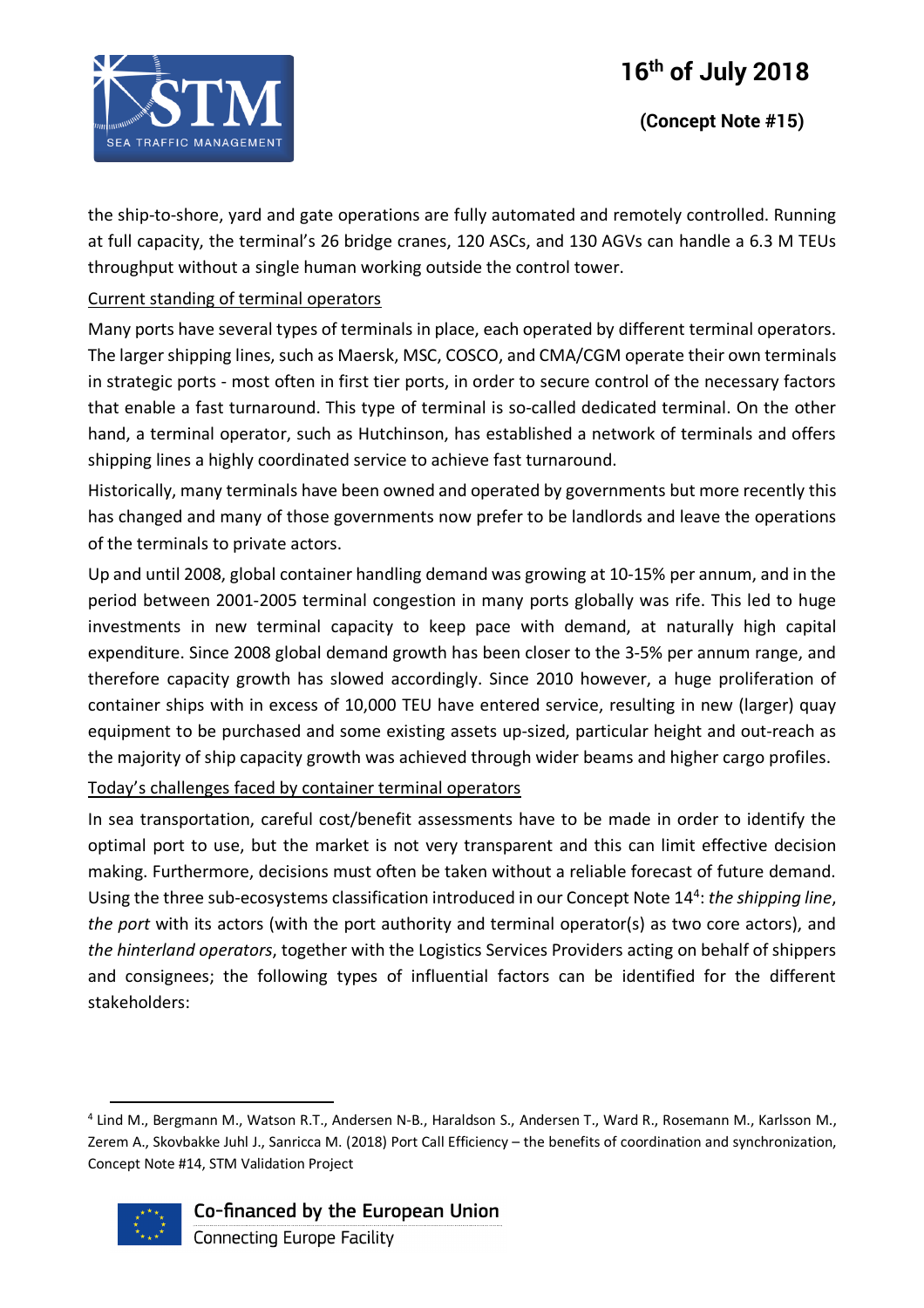# **16th of July 2018**



the ship-to-shore, yard and gate operations are fully automated and remotely controlled. Running at full capacity, the terminal's 26 bridge cranes, 120 ASCs, and 130 AGVs can handle a 6.3 M TEUs throughput without a single human working outside the control tower.

#### Current standing of terminal operators

Many ports have several types of terminals in place, each operated by different terminal operators. The larger shipping lines, such as Maersk, MSC, COSCO, and CMA/CGM operate their own terminals in strategic ports - most often in first tier ports, in order to secure control of the necessary factors that enable a fast turnaround. This type of terminal is so-called dedicated terminal. On the other hand, a terminal operator, such as Hutchinson, has established a network of terminals and offers shipping lines a highly coordinated service to achieve fast turnaround.

Historically, many terminals have been owned and operated by governments but more recently this has changed and many of those governments now prefer to be landlords and leave the operations of the terminals to private actors.

Up and until 2008, global container handling demand was growing at 10-15% per annum, and in the period between 2001-2005 terminal congestion in many ports globally was rife. This led to huge investments in new terminal capacity to keep pace with demand, at naturally high capital expenditure. Since 2008 global demand growth has been closer to the 3-5% per annum range, and therefore capacity growth has slowed accordingly. Since 2010 however, a huge proliferation of container ships with in excess of 10,000 TEU have entered service, resulting in new (larger) quay equipment to be purchased and some existing assets up-sized, particular height and out-reach as the majority of ship capacity growth was achieved through wider beams and higher cargo profiles.

Today's challenges faced by container terminal operators

In sea transportation, careful cost/benefit assessments have to be made in order to identify the optimal port to use, but the market is not very transparent and this can limit effective decision making. Furthermore, decisions must often be taken without a reliable forecast of future demand. Using the three sub-ecosystems classification introduced in our Concept Note 144 : *the shipping line*, *the port* with its actors (with the port authority and terminal operator(s) as two core actors), and *the hinterland operators*, together with the Logistics Services Providers acting on behalf of shippers and consignees; the following types of influential factors can be identified for the different stakeholders:

 <sup>4</sup> Lind M., Bergmann M., Watson R.T., Andersen N-B., Haraldson S., Andersen T., Ward R., Rosemann M., Karlsson M., Zerem A., Skovbakke Juhl J., Sanricca M. (2018) Port Call Efficiency – the benefits of coordination and synchronization, Concept Note #14, STM Validation Project



# Co-financed by the European Union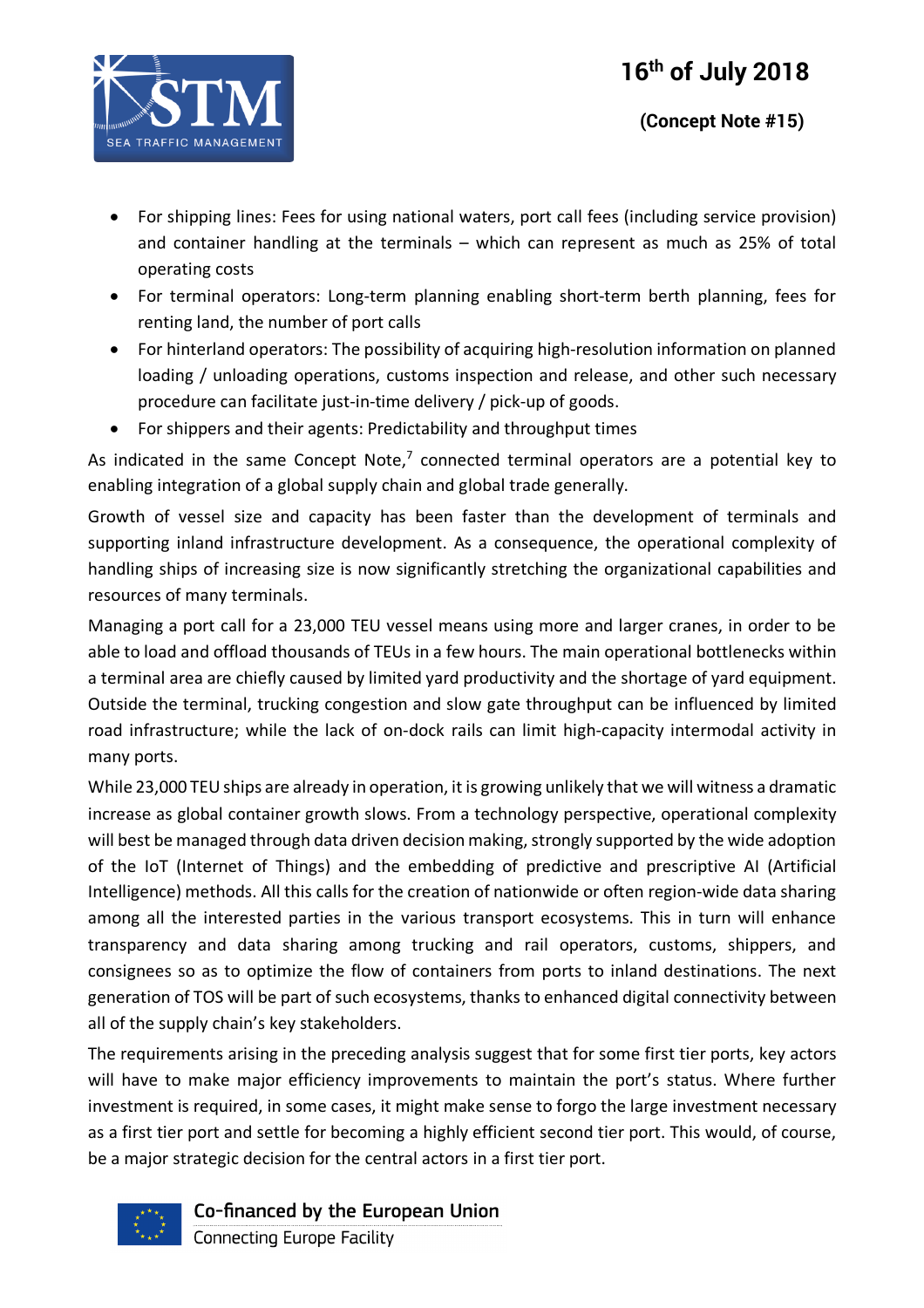

- For shipping lines: Fees for using national waters, port call fees (including service provision) and container handling at the terminals – which can represent as much as 25% of total operating costs
- For terminal operators: Long-term planning enabling short-term berth planning, fees for renting land, the number of port calls
- For hinterland operators: The possibility of acquiring high-resolution information on planned loading / unloading operations, customs inspection and release, and other such necessary procedure can facilitate just-in-time delivery / pick-up of goods.
- For shippers and their agents: Predictability and throughput times

As indicated in the same Concept Note, $^7$  connected terminal operators are a potential key to enabling integration of a global supply chain and global trade generally.

Growth of vessel size and capacity has been faster than the development of terminals and supporting inland infrastructure development. As a consequence, the operational complexity of handling ships of increasing size is now significantly stretching the organizational capabilities and resources of many terminals.

Managing a port call for a 23,000 TEU vessel means using more and larger cranes, in order to be able to load and offload thousands of TEUs in a few hours. The main operational bottlenecks within a terminal area are chiefly caused by limited yard productivity and the shortage of yard equipment. Outside the terminal, trucking congestion and slow gate throughput can be influenced by limited road infrastructure; while the lack of on-dock rails can limit high-capacity intermodal activity in many ports.

While 23,000 TEU ships are already in operation, it is growing unlikely that we will witness a dramatic increase as global container growth slows. From a technology perspective, operational complexity will best be managed through data driven decision making, strongly supported by the wide adoption of the IoT (Internet of Things) and the embedding of predictive and prescriptive AI (Artificial Intelligence) methods. All this calls for the creation of nationwide or often region-wide data sharing among all the interested parties in the various transport ecosystems. This in turn will enhance transparency and data sharing among trucking and rail operators, customs, shippers, and consignees so as to optimize the flow of containers from ports to inland destinations. The next generation of TOS will be part of such ecosystems, thanks to enhanced digital connectivity between all of the supply chain's key stakeholders.

The requirements arising in the preceding analysis suggest that for some first tier ports, key actors will have to make major efficiency improvements to maintain the port's status. Where further investment is required, in some cases, it might make sense to forgo the large investment necessary as a first tier port and settle for becoming a highly efficient second tier port. This would, of course, be a major strategic decision for the central actors in a first tier port.



Co-financed by the European Union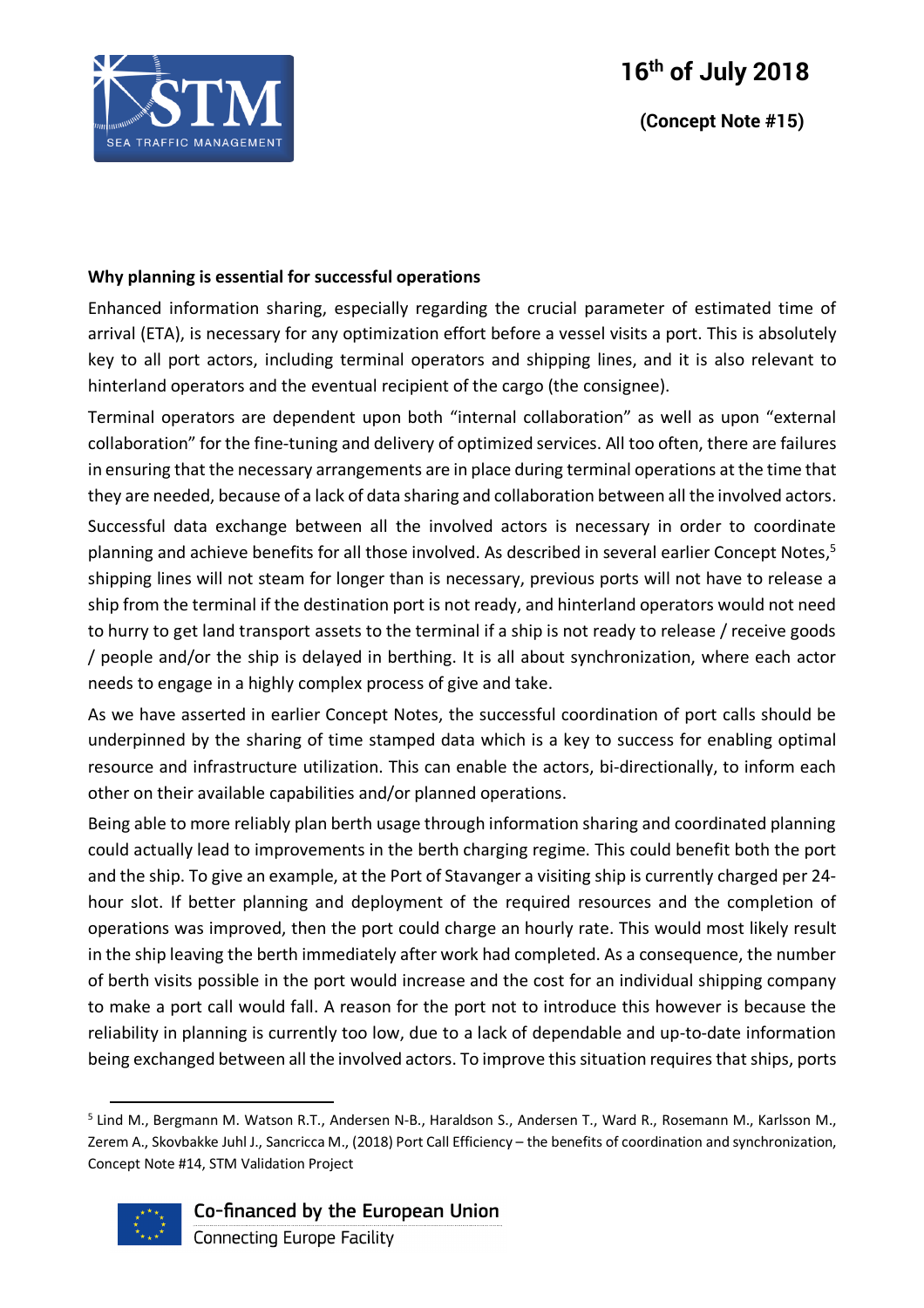

 **(Concept Note #15)**

#### **Why planning is essential for successful operations**

Enhanced information sharing, especially regarding the crucial parameter of estimated time of arrival (ETA), is necessary for any optimization effort before a vessel visits a port. This is absolutely key to all port actors, including terminal operators and shipping lines, and it is also relevant to hinterland operators and the eventual recipient of the cargo (the consignee).

Terminal operators are dependent upon both "internal collaboration" as well as upon "external collaboration" for the fine-tuning and delivery of optimized services. All too often, there are failures in ensuring that the necessary arrangements are in place during terminal operations at the time that they are needed, because of a lack of data sharing and collaboration between all the involved actors. Successful data exchange between all the involved actors is necessary in order to coordinate planning and achieve benefits for all those involved. As described in several earlier Concept Notes,<sup>5</sup> shipping lines will not steam for longer than is necessary, previous ports will not have to release a ship from the terminal if the destination port is not ready, and hinterland operators would not need to hurry to get land transport assets to the terminal if a ship is not ready to release / receive goods / people and/or the ship is delayed in berthing. It is all about synchronization, where each actor needs to engage in a highly complex process of give and take.

As we have asserted in earlier Concept Notes, the successful coordination of port calls should be underpinned by the sharing of time stamped data which is a key to success for enabling optimal resource and infrastructure utilization. This can enable the actors, bi-directionally, to inform each other on their available capabilities and/or planned operations.

Being able to more reliably plan berth usage through information sharing and coordinated planning could actually lead to improvements in the berth charging regime. This could benefit both the port and the ship. To give an example, at the Port of Stavanger a visiting ship is currently charged per 24 hour slot. If better planning and deployment of the required resources and the completion of operations was improved, then the port could charge an hourly rate. This would most likely result in the ship leaving the berth immediately after work had completed. As a consequence, the number of berth visits possible in the port would increase and the cost for an individual shipping company to make a port call would fall. A reason for the port not to introduce this however is because the reliability in planning is currently too low, due to a lack of dependable and up-to-date information being exchanged between all the involved actors. To improve this situation requires that ships, ports

 <sup>5</sup> Lind M., Bergmann M. Watson R.T., Andersen N-B., Haraldson S., Andersen T., Ward R., Rosemann M., Karlsson M., Zerem A., Skovbakke Juhl J., Sancricca M., (2018) Port Call Efficiency – the benefits of coordination and synchronization, Concept Note #14, STM Validation Project



# Co-financed by the European Union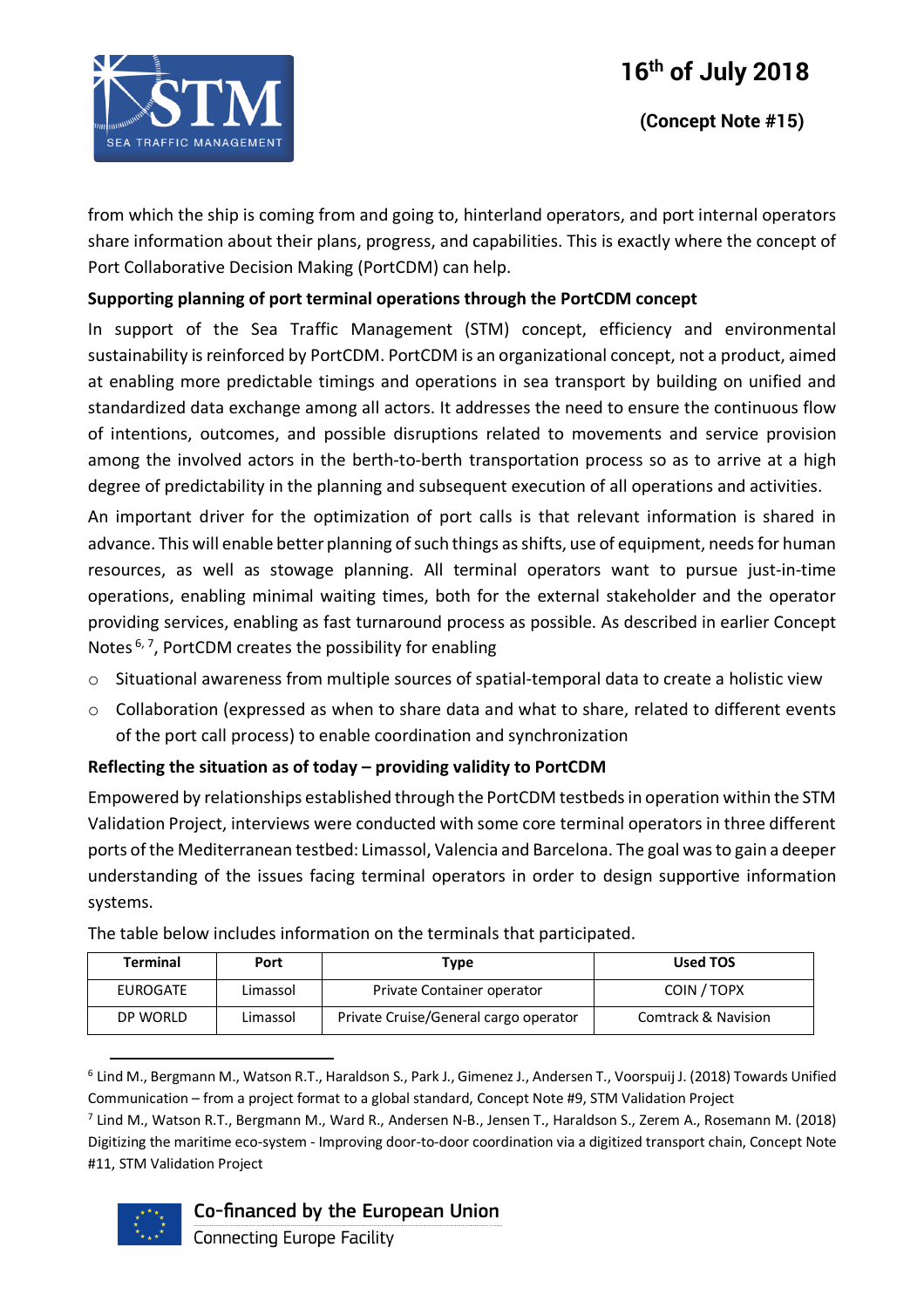

from which the ship is coming from and going to, hinterland operators, and port internal operators share information about their plans, progress, and capabilities. This is exactly where the concept of Port Collaborative Decision Making (PortCDM) can help.

### **Supporting planning of port terminal operations through the PortCDM concept**

In support of the Sea Traffic Management (STM) concept, efficiency and environmental sustainability is reinforced by PortCDM. PortCDM is an organizational concept, not a product, aimed at enabling more predictable timings and operations in sea transport by building on unified and standardized data exchange among all actors. It addresses the need to ensure the continuous flow of intentions, outcomes, and possible disruptions related to movements and service provision among the involved actors in the berth-to-berth transportation process so as to arrive at a high degree of predictability in the planning and subsequent execution of all operations and activities.

An important driver for the optimization of port calls is that relevant information is shared in advance. This will enable better planning of such things as shifts, use of equipment, needs for human resources, as well as stowage planning. All terminal operators want to pursue just-in-time operations, enabling minimal waiting times, both for the external stakeholder and the operator providing services, enabling as fast turnaround process as possible. As described in earlier Concept Notes<sup>6,7</sup>, PortCDM creates the possibility for enabling

- o Situational awareness from multiple sources of spatial-temporal data to create a holistic view
- $\circ$  Collaboration (expressed as when to share data and what to share, related to different events of the port call process) to enable coordination and synchronization

#### **Reflecting the situation as of today – providing validity to PortCDM**

Empowered by relationships established through the PortCDM testbeds in operation within the STM Validation Project, interviews were conducted with some core terminal operators in three different ports of the Mediterranean testbed: Limassol, Valencia and Barcelona. The goal was to gain a deeper understanding of the issues facing terminal operators in order to design supportive information systems.

| <b>Terminal</b> | Port     | Type                                  | Used TOS            |
|-----------------|----------|---------------------------------------|---------------------|
| EUROGATE        | Limassol | Private Container operator            | COIN / TOPX         |
| DP WORLD        | Limassol | Private Cruise/General cargo operator | Comtrack & Navision |

The table below includes information on the terminals that participated.

 $^7$  Lind M., Watson R.T., Bergmann M., Ward R., Andersen N-B., Jensen T., Haraldson S., Zerem A., Rosemann M. (2018) Digitizing the maritime eco-system - Improving door-to-door coordination via a digitized transport chain, Concept Note #11, STM Validation Project



# Co-financed by the European Union

 <sup>6</sup> Lind M., Bergmann M., Watson R.T., Haraldson S., Park J., Gimenez J., Andersen T., Voorspuij J. (2018) Towards Unified Communication – from a project format to a global standard, Concept Note #9, STM Validation Project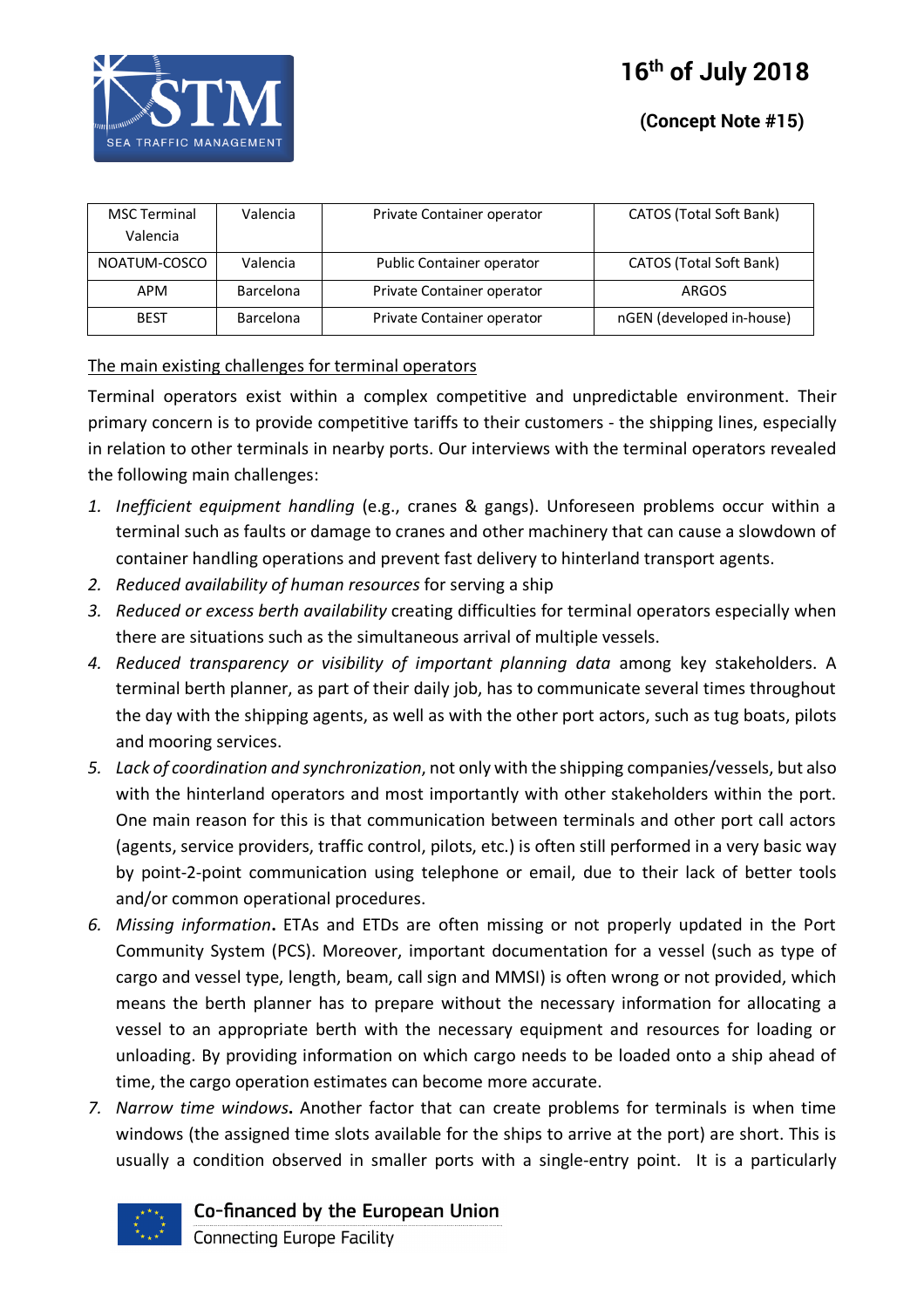

| <b>MSC Terminal</b> | Valencia         | Private Container operator | CATOS (Total Soft Bank)   |
|---------------------|------------------|----------------------------|---------------------------|
| Valencia            |                  |                            |                           |
| NOATUM-COSCO        | Valencia         | Public Container operator  | CATOS (Total Soft Bank)   |
| APM                 | <b>Barcelona</b> | Private Container operator | ARGOS                     |
| <b>BEST</b>         | Barcelona        | Private Container operator | nGEN (developed in-house) |

#### The main existing challenges for terminal operators

Terminal operators exist within a complex competitive and unpredictable environment. Their primary concern is to provide competitive tariffs to their customers - the shipping lines, especially in relation to other terminals in nearby ports. Our interviews with the terminal operators revealed the following main challenges:

- *1. Inefficient equipment handling* (e.g., cranes & gangs). Unforeseen problems occur within a terminal such as faults or damage to cranes and other machinery that can cause a slowdown of container handling operations and prevent fast delivery to hinterland transport agents.
- *2. Reduced availability of human resources* for serving a ship
- *3. Reduced or excess berth availability* creating difficulties for terminal operators especially when there are situations such as the simultaneous arrival of multiple vessels.
- *4. Reduced transparency or visibility of important planning data* among key stakeholders. A terminal berth planner, as part of their daily job, has to communicate several times throughout the day with the shipping agents, as well as with the other port actors, such as tug boats, pilots and mooring services.
- *5. Lack of coordination and synchronization*, not only with the shipping companies/vessels, but also with the hinterland operators and most importantly with other stakeholders within the port. One main reason for this is that communication between terminals and other port call actors (agents, service providers, traffic control, pilots, etc.) is often still performed in a very basic way by point-2-point communication using telephone or email, due to their lack of better tools and/or common operational procedures.
- *6. Missing information***.** ETAs and ETDs are often missing or not properly updated in the Port Community System (PCS). Moreover, important documentation for a vessel (such as type of cargo and vessel type, length, beam, call sign and MMSI) is often wrong or not provided, which means the berth planner has to prepare without the necessary information for allocating a vessel to an appropriate berth with the necessary equipment and resources for loading or unloading. By providing information on which cargo needs to be loaded onto a ship ahead of time, the cargo operation estimates can become more accurate.
- *7. Narrow time windows***.** Another factor that can create problems for terminals is when time windows (the assigned time slots available for the ships to arrive at the port) are short. This is usually a condition observed in smaller ports with a single-entry point. It is a particularly



Co-financed by the European Union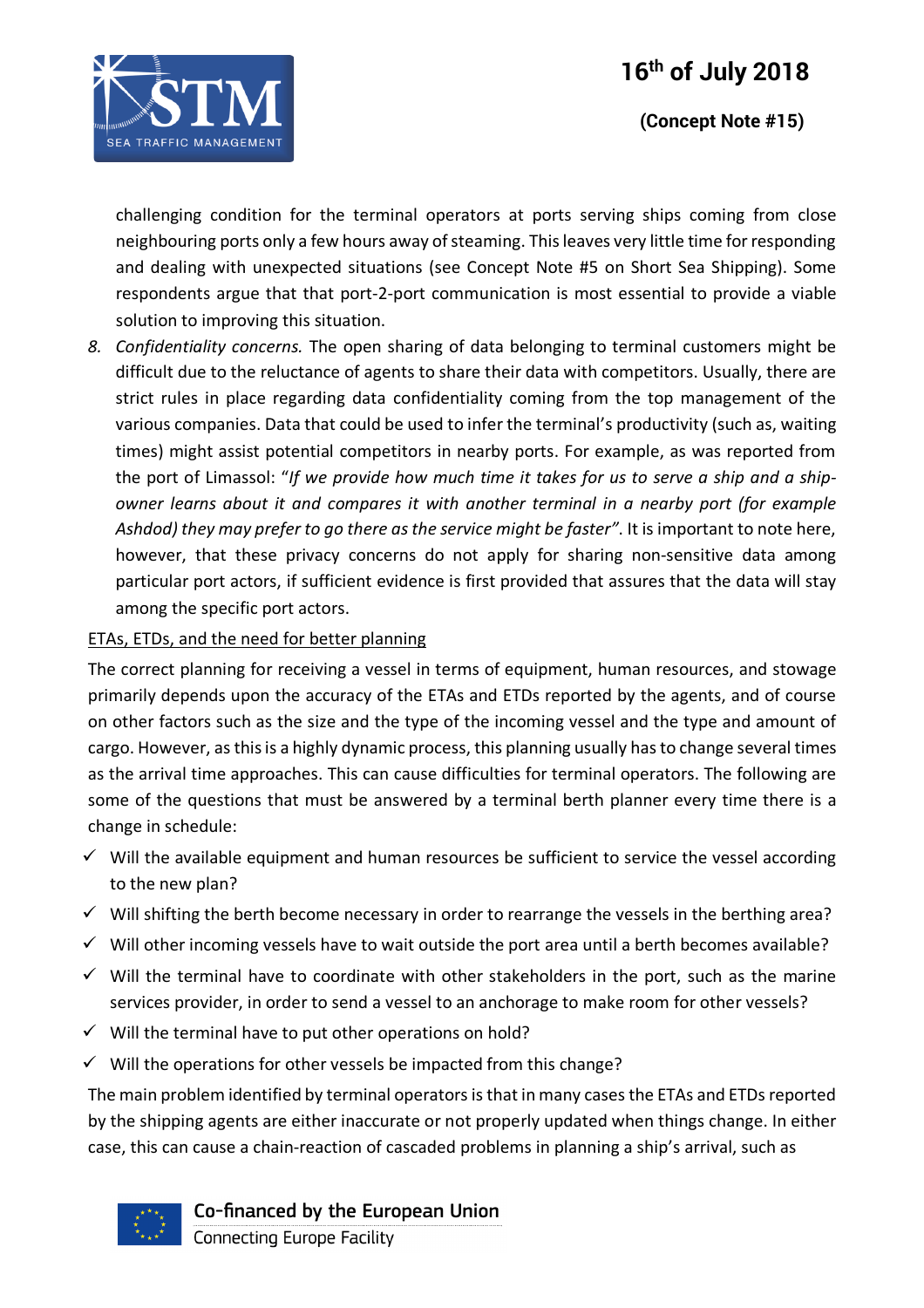# **16th of July 2018**



 **(Concept Note #15)**

challenging condition for the terminal operators at ports serving ships coming from close neighbouring ports only a few hours away of steaming. This leaves very little time for responding and dealing with unexpected situations (see Concept Note #5 on Short Sea Shipping). Some respondents argue that that port-2-port communication is most essential to provide a viable solution to improving this situation.

*8. Confidentiality concerns.* The open sharing of data belonging to terminal customers might be difficult due to the reluctance of agents to share their data with competitors. Usually, there are strict rules in place regarding data confidentiality coming from the top management of the various companies. Data that could be used to infer the terminal's productivity (such as, waiting times) might assist potential competitors in nearby ports. For example, as was reported from the port of Limassol: "*If we provide how much time it takes for us to serve a ship and a shipowner learns about it and compares it with another terminal in a nearby port (for example Ashdod) they may prefer to go there as the service might be faster"*. It is important to note here, however, that these privacy concerns do not apply for sharing non-sensitive data among particular port actors, if sufficient evidence is first provided that assures that the data will stay among the specific port actors.

#### ETAs, ETDs, and the need for better planning

The correct planning for receiving a vessel in terms of equipment, human resources, and stowage primarily depends upon the accuracy of the ETAs and ETDs reported by the agents, and of course on other factors such as the size and the type of the incoming vessel and the type and amount of cargo. However, as this is a highly dynamic process, this planning usually has to change several times as the arrival time approaches. This can cause difficulties for terminal operators. The following are some of the questions that must be answered by a terminal berth planner every time there is a change in schedule:

- $\checkmark$  Will the available equipment and human resources be sufficient to service the vessel according to the new plan?
- $\checkmark$  Will shifting the berth become necessary in order to rearrange the vessels in the berthing area?
- $\checkmark$  Will other incoming vessels have to wait outside the port area until a berth becomes available?
- $\checkmark$  Will the terminal have to coordinate with other stakeholders in the port, such as the marine services provider, in order to send a vessel to an anchorage to make room for other vessels?
- $\checkmark$  Will the terminal have to put other operations on hold?
- $\checkmark$  Will the operations for other vessels be impacted from this change?

The main problem identified by terminal operators isthat in many cases the ETAs and ETDs reported by the shipping agents are either inaccurate or not properly updated when things change. In either case, this can cause a chain-reaction of cascaded problems in planning a ship's arrival, such as



Co-financed by the European Union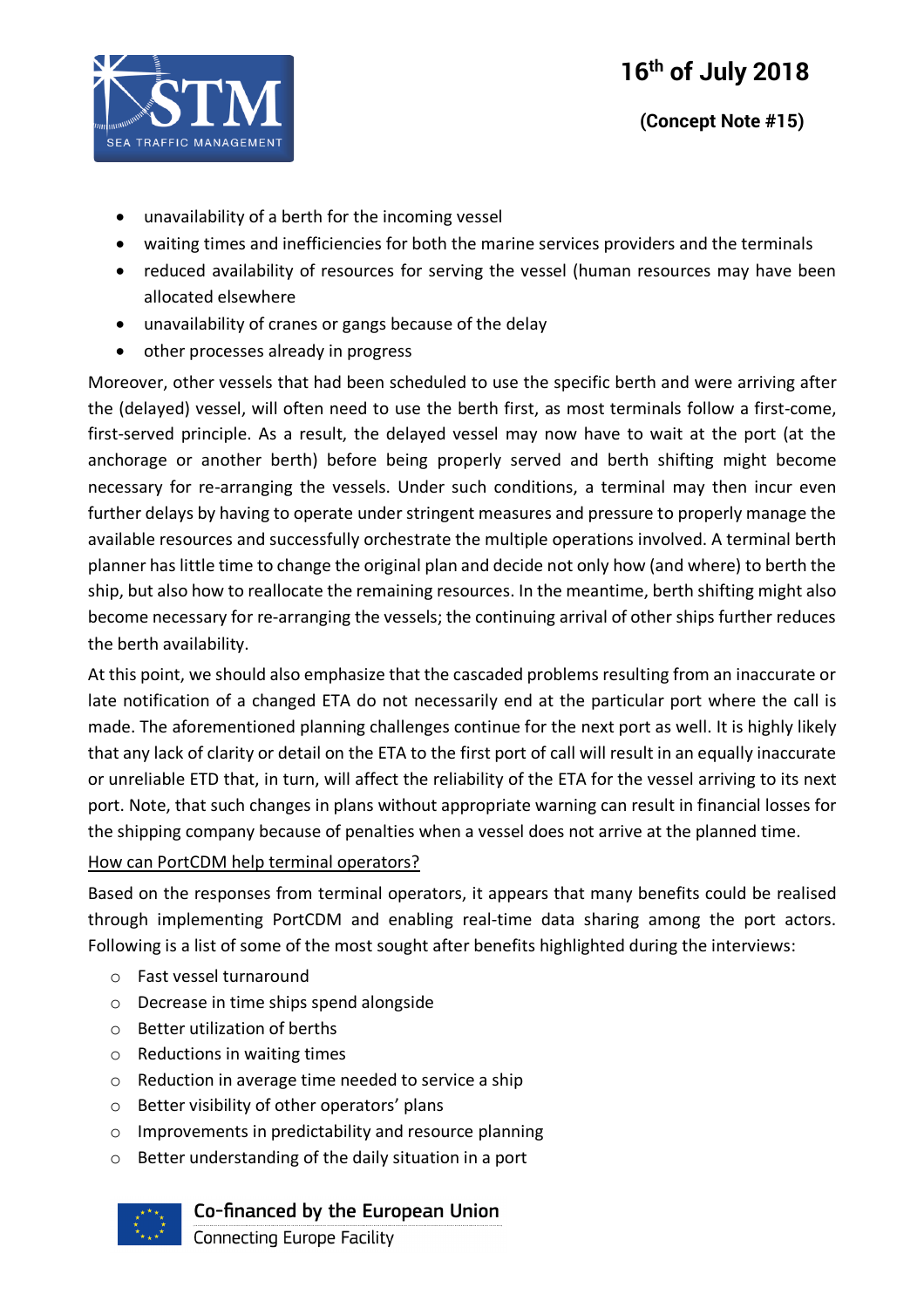

# **(Concept Note #15)**

- unavailability of a berth for the incoming vessel
- waiting times and inefficiencies for both the marine services providers and the terminals
- reduced availability of resources for serving the vessel (human resources may have been allocated elsewhere
- unavailability of cranes or gangs because of the delay
- other processes already in progress

Moreover, other vessels that had been scheduled to use the specific berth and were arriving after the (delayed) vessel, will often need to use the berth first, as most terminals follow a first-come, first-served principle. As a result, the delayed vessel may now have to wait at the port (at the anchorage or another berth) before being properly served and berth shifting might become necessary for re-arranging the vessels. Under such conditions, a terminal may then incur even further delays by having to operate under stringent measures and pressure to properly manage the available resources and successfully orchestrate the multiple operations involved. A terminal berth planner has little time to change the original plan and decide not only how (and where) to berth the ship, but also how to reallocate the remaining resources. In the meantime, berth shifting might also become necessary for re-arranging the vessels; the continuing arrival of other ships further reduces the berth availability.

At this point, we should also emphasize that the cascaded problems resulting from an inaccurate or late notification of a changed ETA do not necessarily end at the particular port where the call is made. The aforementioned planning challenges continue for the next port as well. It is highly likely that any lack of clarity or detail on the ETA to the first port of call will result in an equally inaccurate or unreliable ETD that, in turn, will affect the reliability of the ETA for the vessel arriving to its next port. Note, that such changes in plans without appropriate warning can result in financial losses for the shipping company because of penalties when a vessel does not arrive at the planned time.

#### How can PortCDM help terminal operators?

Based on the responses from terminal operators, it appears that many benefits could be realised through implementing PortCDM and enabling real-time data sharing among the port actors. Following is a list of some of the most sought after benefits highlighted during the interviews:

- o Fast vessel turnaround
- o Decrease in time ships spend alongside
- o Better utilization of berths
- o Reductions in waiting times
- o Reduction in average time needed to service a ship
- o Better visibility of other operators' plans
- o Improvements in predictability and resource planning
- o Better understanding of the daily situation in a port



# Co-financed by the European Union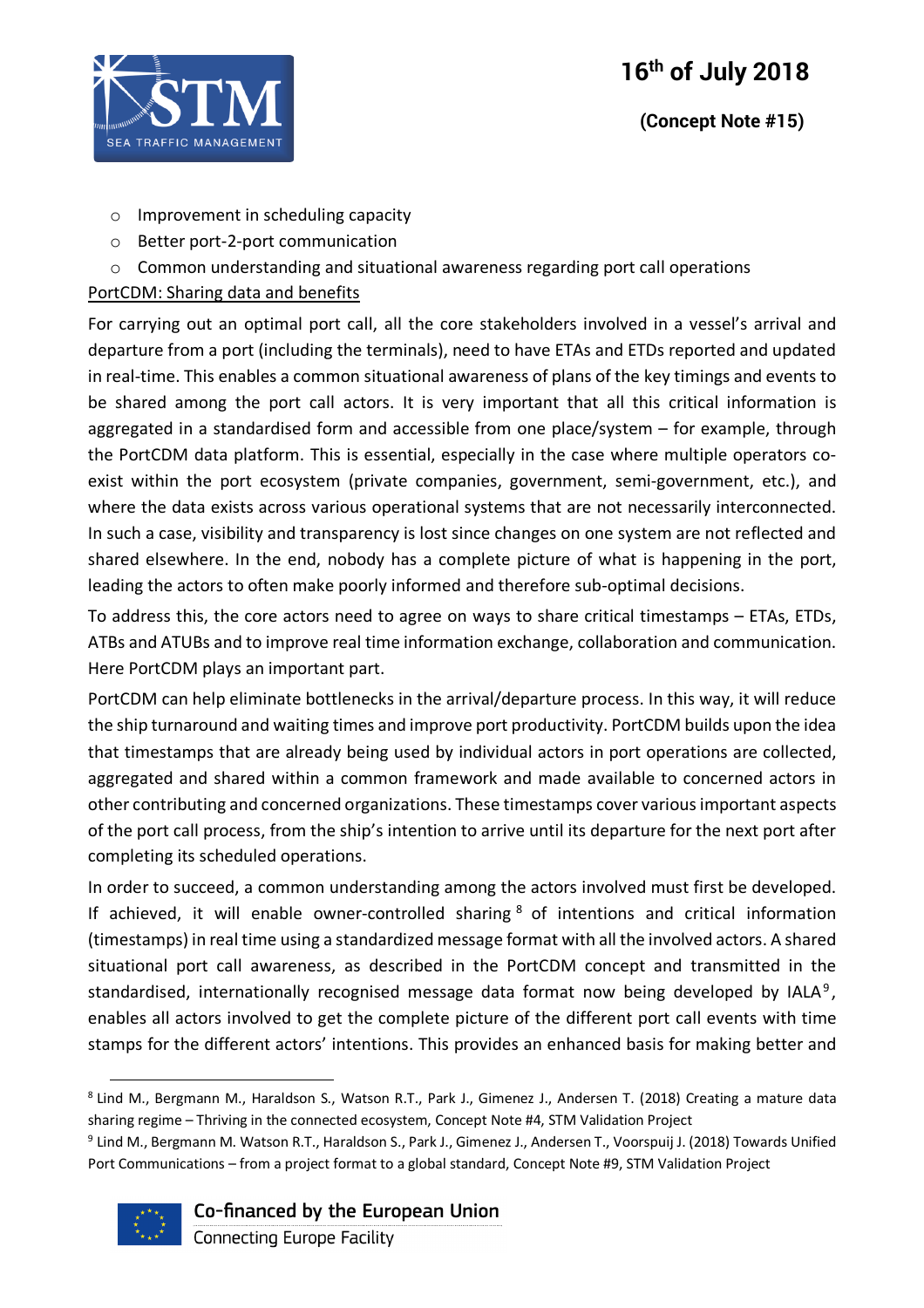

# **(Concept Note #15)**

- o Improvement in scheduling capacity
- o Better port-2-port communication
- o Common understanding and situational awareness regarding port call operations

#### PortCDM: Sharing data and benefits

For carrying out an optimal port call, all the core stakeholders involved in a vessel's arrival and departure from a port (including the terminals), need to have ETAs and ETDs reported and updated in real-time. This enables a common situational awareness of plans of the key timings and events to be shared among the port call actors. It is very important that all this critical information is aggregated in a standardised form and accessible from one place/system – for example, through the PortCDM data platform. This is essential, especially in the case where multiple operators coexist within the port ecosystem (private companies, government, semi-government, etc.), and where the data exists across various operational systems that are not necessarily interconnected. In such a case, visibility and transparency is lost since changes on one system are not reflected and shared elsewhere. In the end, nobody has a complete picture of what is happening in the port, leading the actors to often make poorly informed and therefore sub-optimal decisions.

To address this, the core actors need to agree on ways to share critical timestamps – ETAs, ETDs, ATBs and ATUBs and to improve real time information exchange, collaboration and communication. Here PortCDM plays an important part.

PortCDM can help eliminate bottlenecks in the arrival/departure process. In this way, it will reduce the ship turnaround and waiting times and improve port productivity. PortCDM builds upon the idea that timestamps that are already being used by individual actors in port operations are collected, aggregated and shared within a common framework and made available to concerned actors in other contributing and concerned organizations. These timestamps cover various important aspects of the port call process, from the ship's intention to arrive until its departure for the next port after completing its scheduled operations.

In order to succeed, a common understanding among the actors involved must first be developed. If achieved, it will enable owner-controlled sharing  $8$  of intentions and critical information (timestamps) in real time using a standardized message format with all the involved actors. A shared situational port call awareness, as described in the PortCDM concept and transmitted in the standardised, internationally recognised message data format now being developed by IALA<sup>9</sup>, enables all actors involved to get the complete picture of the different port call events with time stamps for the different actors' intentions. This provides an enhanced basis for making better and

<sup>9</sup> Lind M., Bergmann M. Watson R.T., Haraldson S., Park J., Gimenez J., Andersen T., Voorspuij J. (2018) Towards Unified Port Communications – from a project format to a global standard, Concept Note #9, STM Validation Project



Co-financed by the European Union

 <sup>8</sup> Lind M., Bergmann M., Haraldson S., Watson R.T., Park J., Gimenez J., Andersen T. (2018) Creating a mature data sharing regime – Thriving in the connected ecosystem, Concept Note #4, STM Validation Project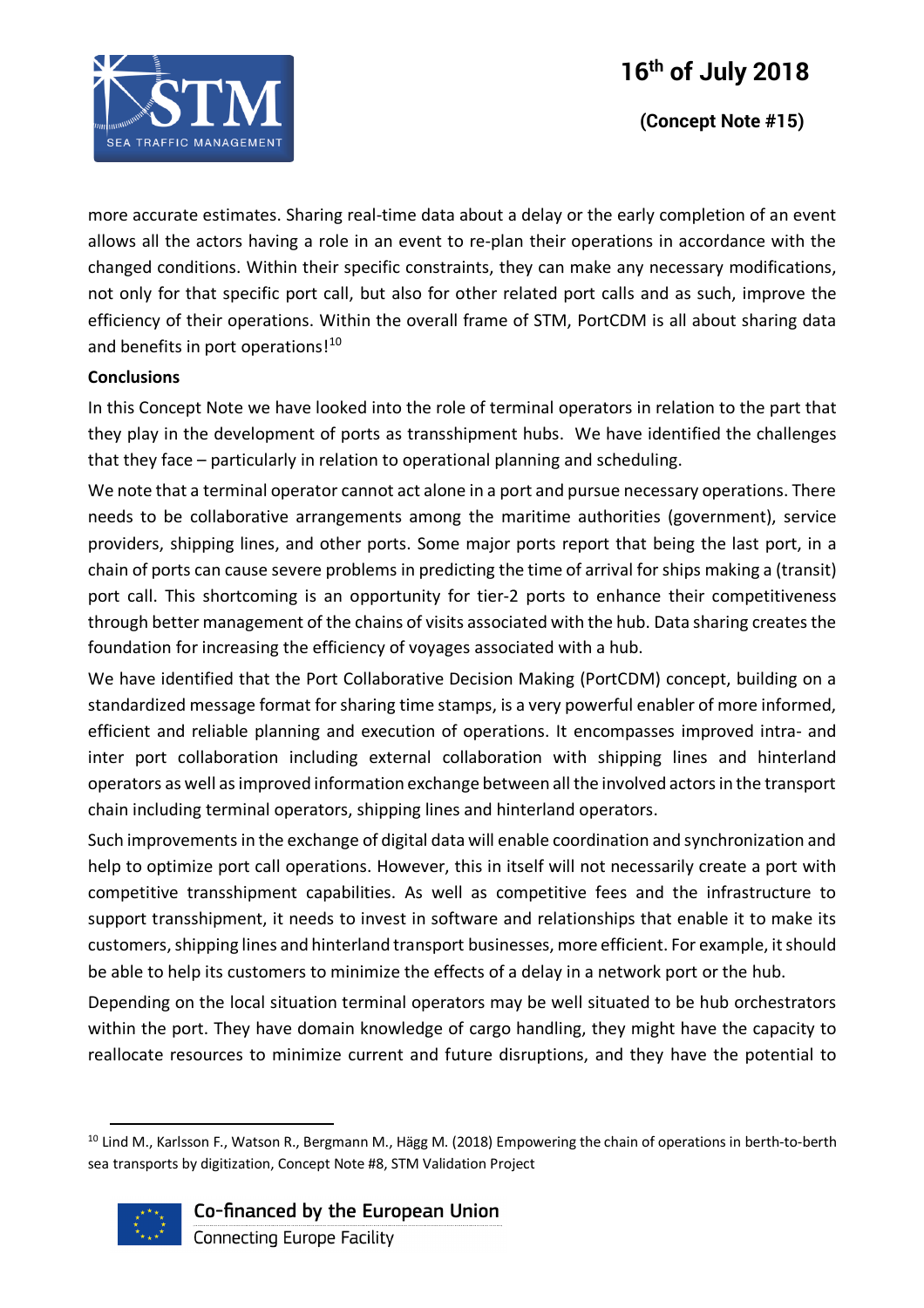

more accurate estimates. Sharing real-time data about a delay or the early completion of an event allows all the actors having a role in an event to re-plan their operations in accordance with the changed conditions. Within their specific constraints, they can make any necessary modifications, not only for that specific port call, but also for other related port calls and as such, improve the efficiency of their operations. Within the overall frame of STM, PortCDM is all about sharing data and benefits in port operations!<sup>10</sup>

#### **Conclusions**

In this Concept Note we have looked into the role of terminal operators in relation to the part that they play in the development of ports as transshipment hubs. We have identified the challenges that they face – particularly in relation to operational planning and scheduling.

We note that a terminal operator cannot act alone in a port and pursue necessary operations. There needs to be collaborative arrangements among the maritime authorities (government), service providers, shipping lines, and other ports. Some major ports report that being the last port, in a chain of ports can cause severe problems in predicting the time of arrival for ships making a (transit) port call. This shortcoming is an opportunity for tier-2 ports to enhance their competitiveness through better management of the chains of visits associated with the hub. Data sharing creates the foundation for increasing the efficiency of voyages associated with a hub.

We have identified that the Port Collaborative Decision Making (PortCDM) concept, building on a standardized message format for sharing time stamps, is a very powerful enabler of more informed, efficient and reliable planning and execution of operations. It encompasses improved intra- and inter port collaboration including external collaboration with shipping lines and hinterland operators as well as improved information exchange between all the involved actors in the transport chain including terminal operators, shipping lines and hinterland operators.

Such improvements in the exchange of digital data will enable coordination and synchronization and help to optimize port call operations. However, this in itself will not necessarily create a port with competitive transshipment capabilities. As well as competitive fees and the infrastructure to support transshipment, it needs to invest in software and relationships that enable it to make its customers, shipping lines and hinterland transport businesses, more efficient. For example, it should be able to help its customers to minimize the effects of a delay in a network port or the hub.

Depending on the local situation terminal operators may be well situated to be hub orchestrators within the port. They have domain knowledge of cargo handling, they might have the capacity to reallocate resources to minimize current and future disruptions, and they have the potential to

<sup>&</sup>lt;sup>10</sup> Lind M., Karlsson F., Watson R., Bergmann M., Hägg M. (2018) Empowering the chain of operations in berth-to-berth sea transports by digitization, Concept Note #8, STM Validation Project